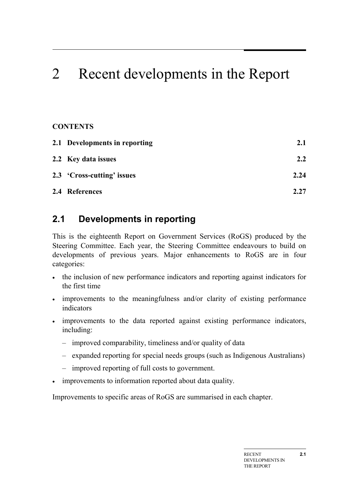# 2 Recent developments in the Report

### **CONTENTS**

| 2.1 Developments in reporting | 2.1              |
|-------------------------------|------------------|
| 2.2 Key data issues           | $2.2\phantom{0}$ |
| 2.3 'Cross-cutting' issues    | 2.24             |
| 2.4 References                | 2.27             |

## <span id="page-0-0"></span>**2.1 Developments in reporting**

This is the eighteenth Report on Government Services (RoGS) produced by the Steering Committee. Each year, the Steering Committee endeavours to build on developments of previous years. Major enhancements to RoGS are in four categories:

- the inclusion of new performance indicators and reporting against indicators for the first time
- improvements to the meaningfulness and/or clarity of existing performance indicators
- improvements to the data reported against existing performance indicators, including:
	- improved comparability, timeliness and/or quality of data
	- expanded reporting for special needs groups (such as Indigenous Australians)
	- improved reporting of full costs to government.
- improvements to information reported about data quality.

Improvements to specific areas of RoGS are summarised in each chapter.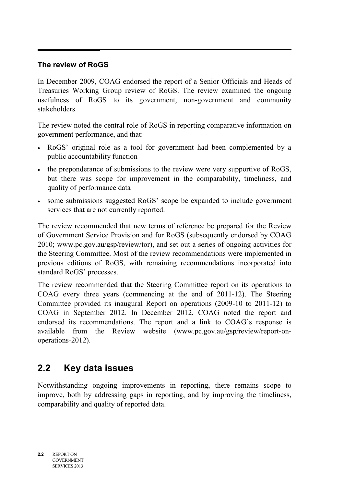### **The review of RoGS**

In December 2009, COAG endorsed the report of a Senior Officials and Heads of Treasuries Working Group review of RoGS. The review examined the ongoing usefulness of RoGS to its government, non-government and community stakeholders.

The review noted the central role of RoGS in reporting comparative information on government performance, and that:

- RoGS' original role as a tool for government had been complemented by a public accountability function
- the preponderance of submissions to the review were very supportive of RoGS, but there was scope for improvement in the comparability, timeliness, and quality of performance data
- some submissions suggested RoGS' scope be expanded to include government services that are not currently reported.

The review recommended that new terms of reference be prepared for the Review of Government Service Provision and for RoGS (subsequently endorsed by COAG 2010; www.pc.gov.au/gsp/review/tor), and set out a series of ongoing activities for the Steering Committee. Most of the review recommendations were implemented in previous editions of RoGS, with remaining recommendations incorporated into standard RoGS' processes.

The review recommended that the Steering Committee report on its operations to COAG every three years (commencing at the end of 2011-12). The Steering Committee provided its inaugural Report on operations (2009-10 to 2011-12) to COAG in September 2012. In December 2012, COAG noted the report and endorsed its recommendations. The report and a link to COAG's response is available from the Review website (www.pc.gov.au/gsp/review/report-onoperations-2012).

## <span id="page-1-0"></span>**2.2 Key data issues**

Notwithstanding ongoing improvements in reporting, there remains scope to improve, both by addressing gaps in reporting, and by improving the timeliness, comparability and quality of reported data.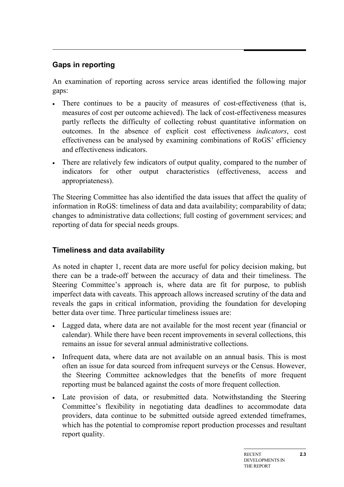## **Gaps in reporting**

An examination of reporting across service areas identified the following major gaps:

- There continues to be a paucity of measures of cost-effectiveness (that is, measures of cost per outcome achieved). The lack of cost-effectiveness measures partly reflects the difficulty of collecting robust quantitative information on outcomes. In the absence of explicit cost effectiveness *indicators*, cost effectiveness can be analysed by examining combinations of RoGS' efficiency and effectiveness indicators.
- There are relatively few indicators of output quality, compared to the number of indicators for other output characteristics (effectiveness, access and appropriateness).

The Steering Committee has also identified the data issues that affect the quality of information in RoGS: timeliness of data and data availability; comparability of data; changes to administrative data collections; full costing of government services; and reporting of data for special needs groups.

## **Timeliness and data availability**

As noted in chapter 1, recent data are more useful for policy decision making, but there can be a trade-off between the accuracy of data and their timeliness. The Steering Committee's approach is, where data are fit for purpose, to publish imperfect data with caveats. This approach allows increased scrutiny of the data and reveals the gaps in critical information, providing the foundation for developing better data over time. Three particular timeliness issues are:

- Lagged data, where data are not available for the most recent year (financial or calendar). While there have been recent improvements in several collections, this remains an issue for several annual administrative collections.
- Infrequent data, where data are not available on an annual basis. This is most often an issue for data sourced from infrequent surveys or the Census. However, the Steering Committee acknowledges that the benefits of more frequent reporting must be balanced against the costs of more frequent collection.
- Late provision of data, or resubmitted data. Notwithstanding the Steering Committee's flexibility in negotiating data deadlines to accommodate data providers, data continue to be submitted outside agreed extended timeframes, which has the potential to compromise report production processes and resultant report quality.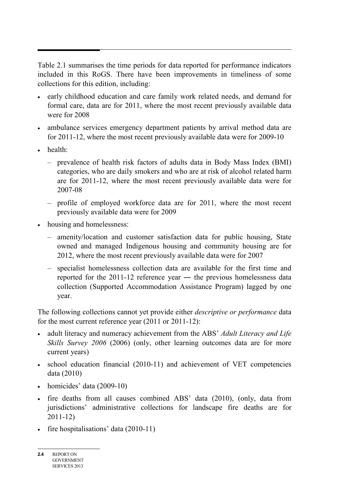Table 2.1 summarises the time periods for data reported for performance indicators included in this RoGS. There have been improvements in timeliness of some collections for this edition, including:

- early childhood education and care family work related needs, and demand for formal care, data are for 2011, where the most recent previously available data were for 2008
- ambulance services emergency department patients by arrival method data are for 2011-12, where the most recent previously available data were for 2009-10
- health:
	- prevalence of health risk factors of adults data in Body Mass Index (BMI) categories, who are daily smokers and who are at risk of alcohol related harm are for 2011-12, where the most recent previously available data were for 2007-08
	- profile of employed workforce data are for 2011, where the most recent previously available data were for 2009
- housing and homelessness:
	- amenity/location and customer satisfaction data for public housing, State owned and managed Indigenous housing and community housing are for 2012, where the most recent previously available data were for 2007
	- specialist homelessness collection data are available for the first time and reported for the 2011-12 reference year ― the previous homelessness data collection (Supported Accommodation Assistance Program) lagged by one year.

The following collections cannot yet provide either *descriptive or performance* data for the most current reference year (2011 or 2011-12):

- adult literacy and numeracy achievement from the ABS' *Adult Literacy and Life Skills Survey 2006* (2006) (only, other learning outcomes data are for more current years)
- school education financial (2010-11) and achievement of VET competencies data (2010)
- homicides' data (2009-10)
- fire deaths from all causes combined ABS' data (2010), (only, data from jurisdictions' administrative collections for landscape fire deaths are for 2011-12)
- fire hospitalisations' data (2010-11)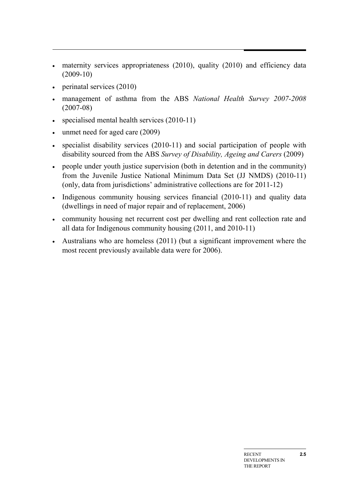- maternity services appropriateness (2010), quality (2010) and efficiency data (2009-10)
- perinatal services (2010)
- management of asthma from the ABS *National Health Survey 2007-2008* (2007-08)
- specialised mental health services (2010-11)
- unmet need for aged care (2009)
- specialist disability services (2010-11) and social participation of people with disability sourced from the ABS *Survey of Disability, Ageing and Carers* (2009)
- people under youth justice supervision (both in detention and in the community) from the Juvenile Justice National Minimum Data Set (JJ NMDS) (2010-11) (only, data from jurisdictions' administrative collections are for 2011-12)
- Indigenous community housing services financial (2010-11) and quality data (dwellings in need of major repair and of replacement, 2006)
- community housing net recurrent cost per dwelling and rent collection rate and all data for Indigenous community housing (2011, and 2010-11)
- Australians who are homeless (2011) (but a significant improvement where the most recent previously available data were for 2006).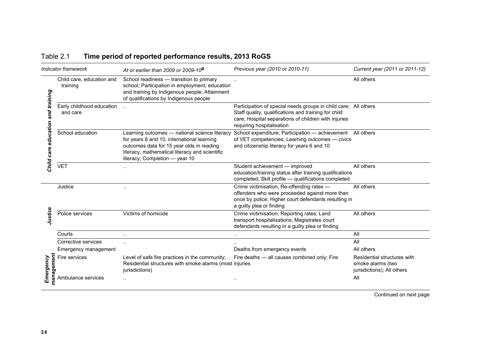| Table 2.1 | Time period of reported performance results, 2013 RoGS |
|-----------|--------------------------------------------------------|
|-----------|--------------------------------------------------------|

| Indicator framework                  |                                       | At or earlier than 2009 or 2009-10 <sup>a</sup>                                                                                                                                                                              | Previous year (2010 or 2010-11)                                                                                                                                                                              | Current year (2011 or 2011-12)                                                 |  |
|--------------------------------------|---------------------------------------|------------------------------------------------------------------------------------------------------------------------------------------------------------------------------------------------------------------------------|--------------------------------------------------------------------------------------------------------------------------------------------------------------------------------------------------------------|--------------------------------------------------------------------------------|--|
|                                      | Child care, education and<br>training | School readiness - transition to primary<br>school; Participation in employment, education<br>and training by Indigenous people; Attainment<br>of qualifications by Indigenous people                                        |                                                                                                                                                                                                              | All others                                                                     |  |
| and training<br>Child care education | Early childhood education<br>and care |                                                                                                                                                                                                                              | Participation of special needs groups in child care; All others<br>Staff quality, qualifications and training for child<br>care; Hospital separations of children with injuries<br>requiring hospitalisation |                                                                                |  |
|                                      | School education                      | Learning outcomes - national science literacy<br>for years 6 and 10, international learning<br>outcomes data for 15 year olds in reading<br>literacy, mathematical literacy and scientific<br>literacy; Completion - year 10 | School expenditure; Participation - achievement All others<br>of VET competencies; Learning outcomes - civics<br>and citizenship literacy for years 6 and 10                                                 |                                                                                |  |
|                                      | <b>VET</b>                            |                                                                                                                                                                                                                              | Student achievement - improved<br>education/training status after training qualifications<br>completed; Skill profile - qualifications completed                                                             | All others                                                                     |  |
|                                      | Justice                               |                                                                                                                                                                                                                              | Crime victimisation; Re-offending rates -<br>offenders who were proceeded against more than<br>once by police; Higher court defendants resulting in<br>a guilty plea or finding                              | All others                                                                     |  |
| Justice                              | Police services                       | Victims of homicide                                                                                                                                                                                                          | Crime victimisation; Reporting rates; Land<br>transport hospitalisations; Magistrates court<br>defendants resulting in a guilty plea or finding                                                              | All others                                                                     |  |
|                                      | Courts                                |                                                                                                                                                                                                                              |                                                                                                                                                                                                              | All                                                                            |  |
|                                      | Corrective services                   | $\cdot$ .                                                                                                                                                                                                                    |                                                                                                                                                                                                              | All                                                                            |  |
|                                      | Emergency management                  |                                                                                                                                                                                                                              | Deaths from emergency events                                                                                                                                                                                 | All others                                                                     |  |
| management<br>Emergency              | Fire services                         | Level of safe fire practices in the community;<br>Residential structures with smoke alarms (most injuries<br>jurisdictions)                                                                                                  | Fire deaths - all causes combined only; Fire                                                                                                                                                                 | Residential structures with<br>smoke alarms (two<br>jurisdictions); All others |  |
|                                      | Ambulance services                    |                                                                                                                                                                                                                              |                                                                                                                                                                                                              | All                                                                            |  |

Continued on next page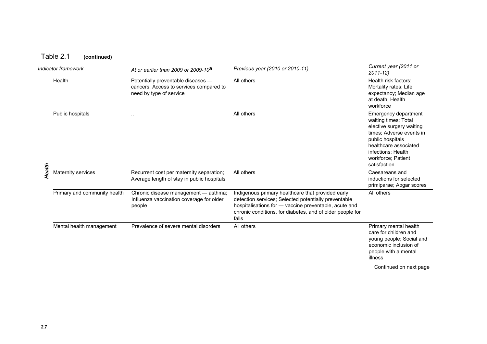|        | Indicator framework          | At or earlier than 2009 or 2009-10 <sup>a</sup>                                                          | Previous year (2010 or 2010-11)                                                                                                                                                                                                          | Current year (2011 or<br>$2011 - 12$                                                                                                                                                                          |
|--------|------------------------------|----------------------------------------------------------------------------------------------------------|------------------------------------------------------------------------------------------------------------------------------------------------------------------------------------------------------------------------------------------|---------------------------------------------------------------------------------------------------------------------------------------------------------------------------------------------------------------|
|        | Health                       | Potentially preventable diseases -<br>cancers; Access to services compared to<br>need by type of service | All others                                                                                                                                                                                                                               | Health risk factors:<br>Mortality rates; Life<br>expectancy; Median age<br>at death; Health<br>workforce                                                                                                      |
|        | Public hospitals             | . .                                                                                                      | All others                                                                                                                                                                                                                               | Emergency department<br>waiting times; Total<br>elective surgery waiting<br>times; Adverse events in<br>public hospitals<br>healthcare associated<br>infections; Health<br>workforce; Patient<br>satisfaction |
| Health | Maternity services           | Recurrent cost per maternity separation;<br>Average length of stay in public hospitals                   | All others                                                                                                                                                                                                                               | Caesareans and<br>inductions for selected<br>primiparae; Apgar scores                                                                                                                                         |
|        | Primary and community health | Chronic disease management - asthma;<br>Influenza vaccination coverage for older<br>people               | Indigenous primary healthcare that provided early<br>detection services; Selected potentially preventable<br>hospitalisations for - vaccine preventable, acute and<br>chronic conditions, for diabetes, and of older people for<br>falls | All others                                                                                                                                                                                                    |
|        | Mental health management     | Prevalence of severe mental disorders                                                                    | All others                                                                                                                                                                                                                               | Primary mental health<br>care for children and<br>young people; Social and<br>economic inclusion of<br>people with a mental<br>illness                                                                        |

Continued on next page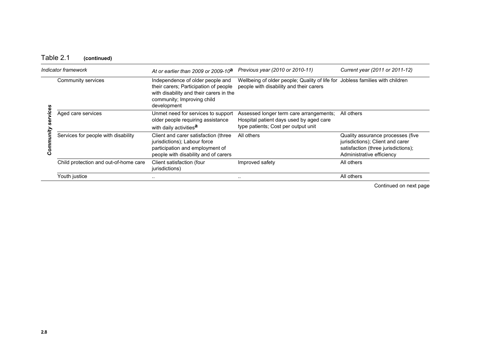## Table 2.1 **(continued)**

| Indicator framework |                                       | At or earlier than 2009 or 2009-10 $a$                                                                                                                            | Previous year (2010 or 2010-11)                                                                                           | Current year (2011 or 2011-12)                                                                                                            |  |
|---------------------|---------------------------------------|-------------------------------------------------------------------------------------------------------------------------------------------------------------------|---------------------------------------------------------------------------------------------------------------------------|-------------------------------------------------------------------------------------------------------------------------------------------|--|
| G)                  | Community services                    | Independence of older people and<br>their carers; Participation of people<br>with disability and their carers in the<br>community; Improving child<br>development | Wellbeing of older people; Quality of life for Jobless families with children<br>people with disability and their carers  |                                                                                                                                           |  |
|                     | Aged care services                    | Unmet need for services to support<br>older people requiring assistance<br>with daily activities <sup>a</sup>                                                     | Assessed longer term care arrangements;<br>Hospital patient days used by aged care<br>type patients; Cost per output unit | All others                                                                                                                                |  |
|                     | Services for people with disability   | Client and carer satisfaction (three<br>jurisdictions); Labour force<br>participation and employment of<br>people with disability and of carers                   | All others                                                                                                                | Quality assurance processes (five<br>jurisdictions); Client and carer<br>satisfaction (three jurisdictions);<br>Administrative efficiency |  |
|                     | Child protection and out-of-home care | Client satisfaction (four<br>jurisdictions)                                                                                                                       | Improved safety                                                                                                           | All others                                                                                                                                |  |
|                     | Youth justice                         | $\cdots$                                                                                                                                                          |                                                                                                                           | All others                                                                                                                                |  |

Continued on next page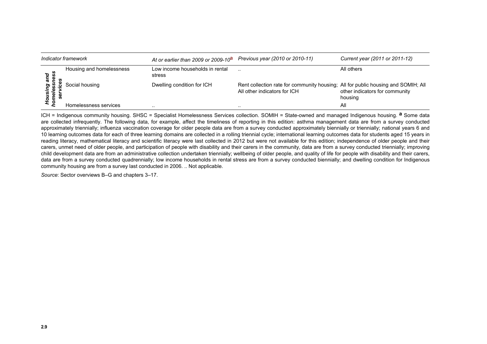| Indicator framework                         |                          | At or earlier than 2009 or 2009-10 <sup>a</sup> | Previous year (2010 or 2010-11)                                                                                   | Current year (2011 or 2011-12)            |
|---------------------------------------------|--------------------------|-------------------------------------------------|-------------------------------------------------------------------------------------------------------------------|-------------------------------------------|
| ana<br>ness<br>»<br>rsing<br>eless<br>ervic | Housing and homelessness | Low income households in rental<br>stress       | $\cdot$ .                                                                                                         | All others                                |
|                                             | Social housing           | Dwelling condition for ICH                      | Rent collection rate for community housing; All for public housing and SOMIH; All<br>All other indicators for ICH | other indicators for community<br>housing |
| ō                                           | Homelessness services    | . .                                             | $\cdot$                                                                                                           | All                                       |

**2.9 Definition and Careform and Careform Solution Solution** ICH = Indigenous community housing. SHSC = Specialist Homelessness Services collection. SOMIH = State-owned and managed Indigenous housing. **a** Some data are collected infrequently. The following data, for example, affect the timeliness of reporting in this edition: asthma management data are from a survey conducted approximately triennially; influenza vaccination coverage for older people data are from a survey conducted approximately biennially or triennially; national years 6 and 10 learning outcomes data for each of three learning domains are collected in a rolling triennial cycle; international learning outcomes data for students aged 15 years in reading literacy, mathematical literacy and scientific literacy were last collected in 2012 but were not available for this edition; independence of older people and their carers, unmet need of older people, and participation of people with disability and their carers in the community, data are from a survey conducted triennially; improving child development data are from an administrative collection undertaken triennially; wellbeing of older people, and quality of life for people with disability and their carers, data are from a survey conducted quadrennially; low income households in rental stress are from a survey conducted biennially; and dwelling condition for Indigenous community housing are from a survey last conducted in 2006. .. Not applicable.

*Source*: Sector overviews B–G and chapters 3–17.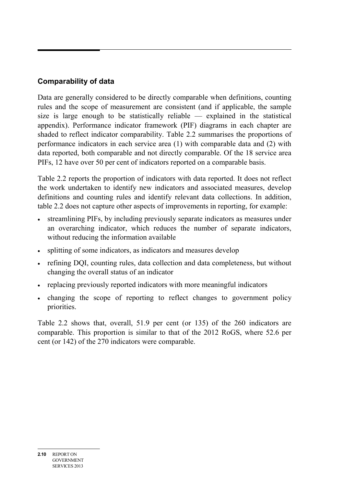## **Comparability of data**

Data are generally considered to be directly comparable when definitions, counting rules and the scope of measurement are consistent (and if applicable, the sample size is large enough to be statistically reliable — explained in the statistical appendix). Performance indicator framework (PIF) diagrams in each chapter are shaded to reflect indicator comparability. Table 2.2 summarises the proportions of performance indicators in each service area (1) with comparable data and (2) with data reported, both comparable and not directly comparable. Of the 18 service area PIFs, 12 have over 50 per cent of indicators reported on a comparable basis.

Table 2.2 reports the proportion of indicators with data reported. It does not reflect the work undertaken to identify new indicators and associated measures, develop definitions and counting rules and identify relevant data collections. In addition, table 2.2 does not capture other aspects of improvements in reporting, for example:

- streamlining PIFs, by including previously separate indicators as measures under an overarching indicator, which reduces the number of separate indicators, without reducing the information available
- splitting of some indicators, as indicators and measures develop
- refining DQI, counting rules, data collection and data completeness, but without changing the overall status of an indicator
- replacing previously reported indicators with more meaningful indicators
- changing the scope of reporting to reflect changes to government policy priorities.

Table 2.2 shows that, overall, 51.9 per cent (or 135) of the 260 indicators are comparable. This proportion is similar to that of the 2012 RoGS, where 52.6 per cent (or 142) of the 270 indicators were comparable.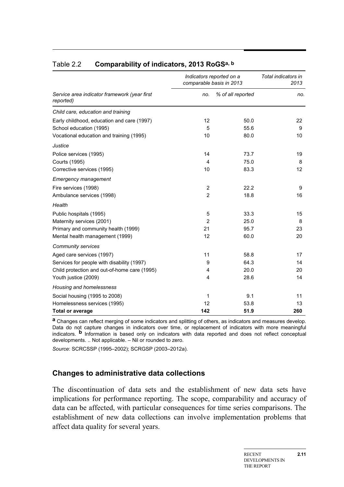|                                                           |                | Indicators reported on a<br>comparable basis in 2013 |     |  |
|-----------------------------------------------------------|----------------|------------------------------------------------------|-----|--|
| Service area indicator framework (year first<br>reported) | no.            | % of all reported                                    | no. |  |
| Child care, education and training                        |                |                                                      |     |  |
| Early childhood, education and care (1997)                | 12             | 50.0                                                 | 22  |  |
| School education (1995)                                   | 5              | 55.6                                                 | 9   |  |
| Vocational education and training (1995)                  | 10             | 80.0                                                 | 10  |  |
| Justice                                                   |                |                                                      |     |  |
| Police services (1995)                                    | 14             | 73.7                                                 | 19  |  |
| Courts (1995)                                             | 4              | 75.0                                                 | 8   |  |
| Corrective services (1995)                                | 10             | 83.3                                                 | 12  |  |
| <b>Emergency management</b>                               |                |                                                      |     |  |
| Fire services (1998)                                      | 2              | 22.2                                                 | 9   |  |
| Ambulance services (1998)                                 | $\overline{2}$ | 18.8                                                 | 16  |  |
| Health                                                    |                |                                                      |     |  |
| Public hospitals (1995)                                   | 5              | 33.3                                                 | 15  |  |
| Maternity services (2001)                                 | $\overline{2}$ | 25.0                                                 | 8   |  |
| Primary and community health (1999)                       | 21             | 95.7                                                 | 23  |  |
| Mental health management (1999)                           | 12             | 60.0                                                 | 20  |  |
| <b>Community services</b>                                 |                |                                                      |     |  |
| Aged care services (1997)                                 | 11             | 58.8                                                 | 17  |  |
| Services for people with disability (1997)                | 9              | 64.3                                                 | 14  |  |
| Child protection and out-of-home care (1995)              | 4              | 20.0                                                 | 20  |  |
| Youth justice (2009)                                      | 4              | 28.6                                                 | 14  |  |
| Housing and homelessness                                  |                |                                                      |     |  |
| Social housing (1995 to 2008)                             | 1              | 9.1                                                  | 11  |  |
| Homelessness services (1995)                              | 12             | 53.8                                                 | 13  |  |
| <b>Total or average</b>                                   | 142            | 51.9                                                 | 260 |  |

#### Table 2.2 **Comparability of indicators, 2013 RoGSa, b**

**a** Changes can reflect merging of some indicators and splitting of others, as indicators and measures develop. Data do not capture changes in indicators over time, or replacement of indicators with more meaningful indicators. **b** Information is based only on indicators with data reported and does not reflect conceptual developments. .. Not applicable. – Nil or rounded to zero.

*Source*: SCRCSSP (1995–2002); SCRGSP (2003–2012a).

#### **Changes to administrative data collections**

The discontinuation of data sets and the establishment of new data sets have implications for performance reporting. The scope, comparability and accuracy of data can be affected, with particular consequences for time series comparisons. The establishment of new data collections can involve implementation problems that affect data quality for several years.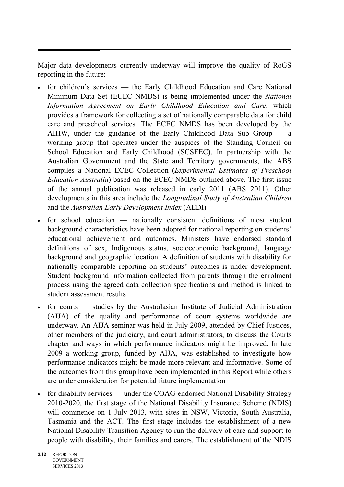Major data developments currently underway will improve the quality of RoGS reporting in the future:

- for children's services the Early Childhood Education and Care National Minimum Data Set (ECEC NMDS) is being implemented under the *National Information Agreement on Early Childhood Education and Care*, which provides a framework for collecting a set of nationally comparable data for child care and preschool services. The ECEC NMDS has been developed by the AIHW, under the guidance of the Early Childhood Data Sub Group — a working group that operates under the auspices of the Standing Council on School Education and Early Childhood (SCSEEC). In partnership with the Australian Government and the State and Territory governments, the ABS compiles a National ECEC Collection (*Experimental Estimates of Preschool Education Australia*) based on the ECEC NMDS outlined above. The first issue of the annual publication was released in early 2011 (ABS 2011). Other developments in this area include the *Longitudinal Study of Australian Children* and the *Australian Early Development Index* (AEDI)
- for school education nationally consistent definitions of most student background characteristics have been adopted for national reporting on students' educational achievement and outcomes. Ministers have endorsed standard definitions of sex, Indigenous status, socioeconomic background, language background and geographic location. A definition of students with disability for nationally comparable reporting on students' outcomes is under development. Student background information collected from parents through the enrolment process using the agreed data collection specifications and method is linked to student assessment results
- for courts studies by the Australasian Institute of Judicial Administration (AIJA) of the quality and performance of court systems worldwide are underway. An AIJA seminar was held in July 2009, attended by Chief Justices, other members of the judiciary, and court administrators, to discuss the Courts chapter and ways in which performance indicators might be improved. In late 2009 a working group, funded by AIJA, was established to investigate how performance indicators might be made more relevant and informative. Some of the outcomes from this group have been implemented in this Report while others are under consideration for potential future implementation
- for disability services under the COAG-endorsed National Disability Strategy 2010-2020, the first stage of the National Disability Insurance Scheme (NDIS) will commence on 1 July 2013, with sites in NSW, Victoria, South Australia, Tasmania and the ACT. The first stage includes the establishment of a new National Disability Transition Agency to run the delivery of care and support to people with disability, their families and carers. The establishment of the NDIS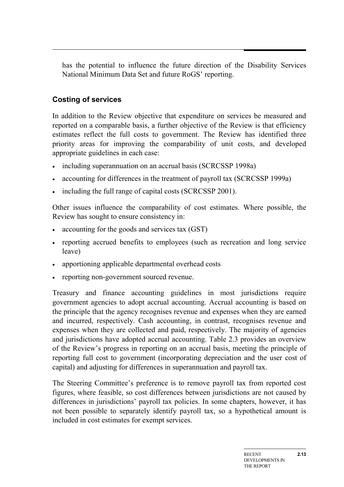has the potential to influence the future direction of the Disability Services National Minimum Data Set and future RoGS' reporting.

## **Costing of services**

In addition to the Review objective that expenditure on services be measured and reported on a comparable basis, a further objective of the Review is that efficiency estimates reflect the full costs to government. The Review has identified three priority areas for improving the comparability of unit costs, and developed appropriate guidelines in each case:

- including superannuation on an accrual basis (SCRCSSP 1998a)
- accounting for differences in the treatment of payroll tax (SCRCSSP 1999a)
- including the full range of capital costs (SCRCSSP 2001).

Other issues influence the comparability of cost estimates. Where possible, the Review has sought to ensure consistency in:

- accounting for the goods and services tax (GST)
- reporting accrued benefits to employees (such as recreation and long service leave)
- apportioning applicable departmental overhead costs
- reporting non-government sourced revenue.

Treasury and finance accounting guidelines in most jurisdictions require government agencies to adopt accrual accounting. Accrual accounting is based on the principle that the agency recognises revenue and expenses when they are earned and incurred, respectively. Cash accounting, in contrast, recognises revenue and expenses when they are collected and paid, respectively. The majority of agencies and jurisdictions have adopted accrual accounting. Table 2.3 provides an overview of the Review's progress in reporting on an accrual basis, meeting the principle of reporting full cost to government (incorporating depreciation and the user cost of capital) and adjusting for differences in superannuation and payroll tax.

The Steering Committee's preference is to remove payroll tax from reported cost figures, where feasible, so cost differences between jurisdictions are not caused by differences in jurisdictions' payroll tax policies. In some chapters, however, it has not been possible to separately identify payroll tax, so a hypothetical amount is included in cost estimates for exempt services.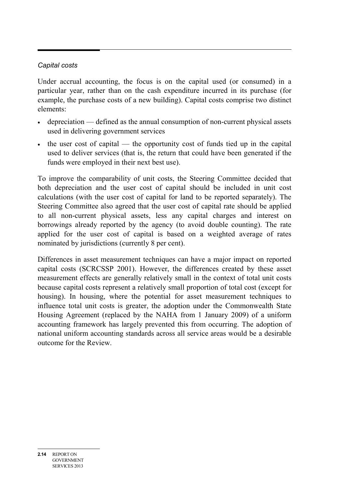### *Capital costs*

Under accrual accounting, the focus is on the capital used (or consumed) in a particular year, rather than on the cash expenditure incurred in its purchase (for example, the purchase costs of a new building). Capital costs comprise two distinct elements:

- depreciation defined as the annual consumption of non-current physical assets used in delivering government services
- the user cost of capital the opportunity cost of funds tied up in the capital used to deliver services (that is, the return that could have been generated if the funds were employed in their next best use).

To improve the comparability of unit costs, the Steering Committee decided that both depreciation and the user cost of capital should be included in unit cost calculations (with the user cost of capital for land to be reported separately). The Steering Committee also agreed that the user cost of capital rate should be applied to all non-current physical assets, less any capital charges and interest on borrowings already reported by the agency (to avoid double counting). The rate applied for the user cost of capital is based on a weighted average of rates nominated by jurisdictions (currently 8 per cent).

Differences in asset measurement techniques can have a major impact on reported capital costs (SCRCSSP 2001). However, the differences created by these asset measurement effects are generally relatively small in the context of total unit costs because capital costs represent a relatively small proportion of total cost (except for housing). In housing, where the potential for asset measurement techniques to influence total unit costs is greater, the adoption under the Commonwealth State Housing Agreement (replaced by the NAHA from 1 January 2009) of a uniform accounting framework has largely prevented this from occurring. The adoption of national uniform accounting standards across all service areas would be a desirable outcome for the Review.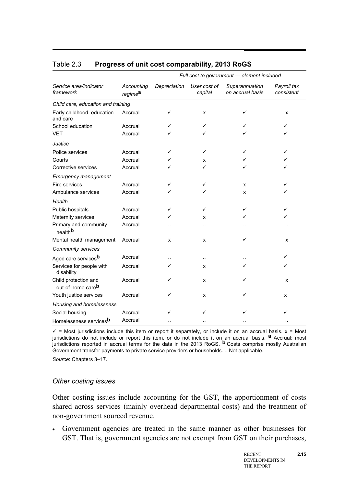|                                              |                                   | Full cost to government - element included |                         |                                    |                           |
|----------------------------------------------|-----------------------------------|--------------------------------------------|-------------------------|------------------------------------|---------------------------|
| Service area/indicator<br>framework          | Accounting<br>regime <sup>a</sup> | Depreciation                               | User cost of<br>capital | Superannuation<br>on accrual basis | Payroll tax<br>consistent |
| Child care, education and training           |                                   |                                            |                         |                                    |                           |
| Early childhood, education<br>and care       | Accrual                           | ✓                                          | X                       | ✓                                  | X                         |
| School education                             | Accrual                           | ✓                                          | ✓                       |                                    | ✓                         |
| <b>VET</b>                                   | Accrual                           |                                            | ✓                       |                                    |                           |
| Justice                                      |                                   |                                            |                         |                                    |                           |
| Police services                              | Accrual                           | ✓                                          | ✓                       | ✓                                  | ✓                         |
| Courts                                       | Accrual                           |                                            | x                       |                                    |                           |
| Corrective services                          | Accrual                           |                                            | ✓                       | ✓                                  | ✓                         |
| <b>Emergency management</b>                  |                                   |                                            |                         |                                    |                           |
| Fire services                                | Accrual                           | ✓                                          | ✓                       | x                                  | ✓                         |
| Ambulance services                           | Accrual                           | ✓                                          | ✓                       | x                                  |                           |
| Health                                       |                                   |                                            |                         |                                    |                           |
| Public hospitals                             | Accrual                           | ✓                                          | ✓                       | ✓                                  | ✓                         |
| Maternity services                           | Accrual                           |                                            | x                       |                                    |                           |
| Primary and community<br>health <sup>b</sup> | Accrual                           |                                            |                         |                                    |                           |
| Mental health management                     | Accrual                           | x                                          | x                       | ✓                                  | X                         |
| Community services                           |                                   |                                            |                         |                                    |                           |
| Aged care servicesb                          | Accrual                           |                                            |                         |                                    | ✓                         |
| Services for people with<br>disability       | Accrual                           | ✓                                          | x                       | ✓                                  | ✓                         |
| Child protection and<br>out-of-home careb    | Accrual                           | ✓                                          | x                       |                                    | x                         |
| Youth justice services                       | Accrual                           | ✓                                          | x                       |                                    | X                         |
| Housing and homelessness                     |                                   |                                            |                         |                                    |                           |
| Social housing                               | Accrual                           | ✓                                          | ✓                       |                                    |                           |
| Homelessness services <sup>b</sup>           | Accrual                           |                                            |                         |                                    |                           |

#### Table 2.3 **Progress of unit cost comparability, 2013 RoGS**

 $\checkmark$  = Most jurisdictions include this item or report it separately, or include it on an accrual basis.  $x$  = Most jurisdictions do not include or report this item, or do not include it on an accrual basis. **a** Accrual: most jurisdictions reported in accrual terms for the data in the 2013 RoGS. **b** Costs comprise mostly Australian Government transfer payments to private service providers or households. .. Not applicable.

*Source*: Chapters 3–17.

#### *Other costing issues*

Other costing issues include accounting for the GST, the apportionment of costs shared across services (mainly overhead departmental costs) and the treatment of non-government sourced revenue.

• Government agencies are treated in the same manner as other businesses for GST. That is, government agencies are not exempt from GST on their purchases,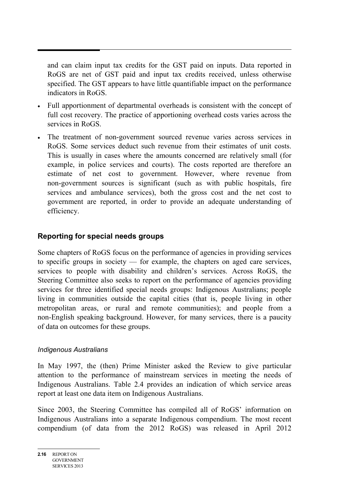and can claim input tax credits for the GST paid on inputs. Data reported in RoGS are net of GST paid and input tax credits received, unless otherwise specified. The GST appears to have little quantifiable impact on the performance indicators in RoGS.

- Full apportionment of departmental overheads is consistent with the concept of full cost recovery. The practice of apportioning overhead costs varies across the services in RoGS.
- The treatment of non-government sourced revenue varies across services in RoGS. Some services deduct such revenue from their estimates of unit costs. This is usually in cases where the amounts concerned are relatively small (for example, in police services and courts). The costs reported are therefore an estimate of net cost to government. However, where revenue from non-government sources is significant (such as with public hospitals, fire services and ambulance services), both the gross cost and the net cost to government are reported, in order to provide an adequate understanding of efficiency.

## **Reporting for special needs groups**

Some chapters of RoGS focus on the performance of agencies in providing services to specific groups in society — for example, the chapters on aged care services, services to people with disability and children's services. Across RoGS, the Steering Committee also seeks to report on the performance of agencies providing services for three identified special needs groups: Indigenous Australians; people living in communities outside the capital cities (that is, people living in other metropolitan areas, or rural and remote communities); and people from a non-English speaking background. However, for many services, there is a paucity of data on outcomes for these groups.

#### *Indigenous Australians*

In May 1997, the (then) Prime Minister asked the Review to give particular attention to the performance of mainstream services in meeting the needs of Indigenous Australians. Table 2.4 provides an indication of which service areas report at least one data item on Indigenous Australians.

Since 2003, the Steering Committee has compiled all of RoGS' information on Indigenous Australians into a separate Indigenous compendium. The most recent compendium (of data from the 2012 RoGS) was released in April 2012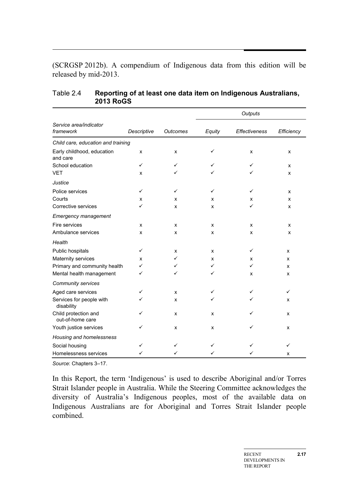(SCRGSP 2012b). A compendium of Indigenous data from this edition will be released by mid-2013.

|                                          |             |                 | Outputs |                      |            |
|------------------------------------------|-------------|-----------------|---------|----------------------|------------|
| Service area/indicator<br>framework      | Descriptive | <b>Outcomes</b> | Equity  | <b>Effectiveness</b> | Efficiency |
| Child care, education and training       |             |                 |         |                      |            |
| Early childhood, education<br>and care   | x           | x               | ✓       | X                    | X          |
| School education                         | ✓           | ✓               | ✓       | ✓                    | x          |
| <b>VET</b>                               | X           | ✓               | ✓       | ✓                    | X          |
| Justice                                  |             |                 |         |                      |            |
| Police services                          | ✓           | ✓               | ✓       | ✓                    | X          |
| Courts                                   | x           | x               | x       | x                    | X          |
| Corrective services                      | ✓           | X               | X       | ✓                    | X          |
| <b>Emergency management</b>              |             |                 |         |                      |            |
| Fire services                            | x           | x               | x       | x                    | X          |
| Ambulance services                       | x           | x               | x       | x                    | X          |
| Health                                   |             |                 |         |                      |            |
| Public hospitals                         | ✓           | X               | x       | ✓                    | x          |
| Maternity services                       | X           | ✓               | x       | x                    | x          |
| Primary and community health             | ✓           | ✓               | ✓       | ✓                    | x          |
| Mental health management                 | ✓           | ✓               | ✓       | x                    | x          |
| Community services                       |             |                 |         |                      |            |
| Aged care services                       | ✓           | x               | ✓       | ✓                    | ✓          |
| Services for people with<br>disability   | ✓           | X               |         | ✓                    | x          |
| Child protection and<br>out-of-home care | ✓           | X               | x       | ✓                    | x          |
| Youth justice services                   | ✓           | X               | X       | ✓                    | x          |
| Housing and homelessness                 |             |                 |         |                      |            |
| Social housing                           | ✓           | ✓               | ✓       | ✓                    | ✓          |
| Homelessness services                    |             | ✓               |         | ✓                    | x          |

#### Table 2.4 **Reporting of at least one data item on Indigenous Australians, 2013 RoGS**

*Source*: Chapters 3–17.

In this Report, the term 'Indigenous' is used to describe Aboriginal and/or Torres Strait Islander people in Australia. While the Steering Committee acknowledges the diversity of Australia's Indigenous peoples, most of the available data on Indigenous Australians are for Aboriginal and Torres Strait Islander people combined.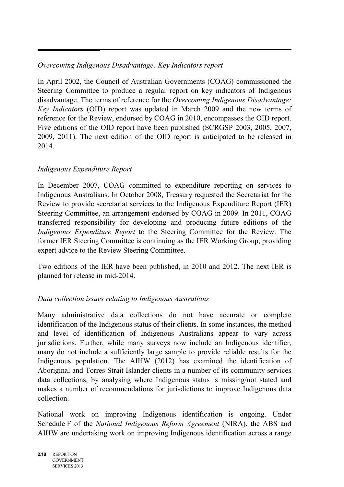## *Overcoming Indigenous Disadvantage: Key Indicators report*

In April 2002, the Council of Australian Governments (COAG) commissioned the Steering Committee to produce a regular report on key indicators of Indigenous disadvantage. The terms of reference for the *Overcoming Indigenous Disadvantage: Key Indicators* (OID) report was updated in March 2009 and the new terms of reference for the Review, endorsed by COAG in 2010, encompasses the OID report. Five editions of the OID report have been published (SCRGSP 2003, 2005, 2007, 2009, 2011). The next edition of the OID report is anticipated to be released in 2014.

### *Indigenous Expenditure Report*

In December 2007, COAG committed to expenditure reporting on services to Indigenous Australians. In October 2008, Treasury requested the Secretariat for the Review to provide secretariat services to the Indigenous Expenditure Report (IER) Steering Committee, an arrangement endorsed by COAG in 2009. In 2011, COAG transferred responsibility for developing and producing future editions of the *Indigenous Expenditure Report* to the Steering Committee for the Review. The former IER Steering Committee is continuing as the IER Working Group, providing expert advice to the Review Steering Committee.

Two editions of the IER have been published, in 2010 and 2012. The next IER is planned for release in mid-2014.

## *Data collection issues relating to Indigenous Australians*

Many administrative data collections do not have accurate or complete identification of the Indigenous status of their clients. In some instances, the method and level of identification of Indigenous Australians appear to vary across jurisdictions. Further, while many surveys now include an Indigenous identifier, many do not include a sufficiently large sample to provide reliable results for the Indigenous population. The AIHW (2012) has examined the identification of Aboriginal and Torres Strait Islander clients in a number of its community services data collections, by analysing where Indigenous status is missing/not stated and makes a number of recommendations for jurisdictions to improve Indigenous data collection.

National work on improving Indigenous identification is ongoing. Under Schedule F of the *National Indigenous Reform Agreement* (NIRA), the ABS and AIHW are undertaking work on improving Indigenous identification across a range

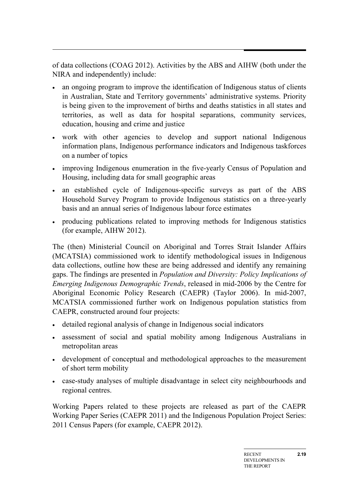of data collections (COAG 2012). Activities by the ABS and AIHW (both under the NIRA and independently) include:

- an ongoing program to improve the identification of Indigenous status of clients in Australian, State and Territory governments' administrative systems. Priority is being given to the improvement of births and deaths statistics in all states and territories, as well as data for hospital separations, community services, education, housing and crime and justice
- work with other agencies to develop and support national Indigenous information plans, Indigenous performance indicators and Indigenous taskforces on a number of topics
- improving Indigenous enumeration in the five-yearly Census of Population and Housing, including data for small geographic areas
- an established cycle of Indigenous-specific surveys as part of the ABS Household Survey Program to provide Indigenous statistics on a three-yearly basis and an annual series of Indigenous labour force estimates
- producing publications related to improving methods for Indigenous statistics (for example, AIHW 2012).

The (then) Ministerial Council on Aboriginal and Torres Strait Islander Affairs (MCATSIA) commissioned work to identify methodological issues in Indigenous data collections, outline how these are being addressed and identify any remaining gaps. The findings are presented in *Population and Diversity: Policy Implications of Emerging Indigenous Demographic Trends*, released in mid-2006 by the Centre for Aboriginal Economic Policy Research (CAEPR) (Taylor 2006). In mid-2007, MCATSIA commissioned further work on Indigenous population statistics from CAEPR, constructed around four projects:

- detailed regional analysis of change in Indigenous social indicators
- assessment of social and spatial mobility among Indigenous Australians in metropolitan areas
- development of conceptual and methodological approaches to the measurement of short term mobility
- case-study analyses of multiple disadvantage in select city neighbourhoods and regional centres.

Working Papers related to these projects are released as part of the CAEPR Working Paper Series (CAEPR 2011) and the Indigenous Population Project Series: 2011 Census Papers (for example, CAEPR 2012).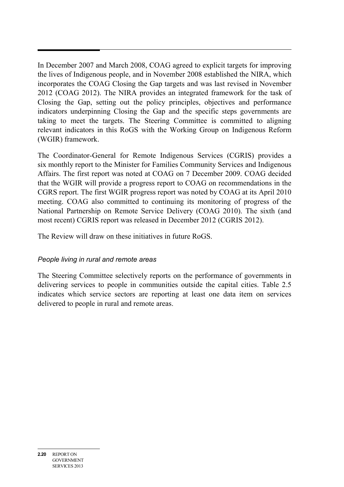In December 2007 and March 2008, COAG agreed to explicit targets for improving the lives of Indigenous people, and in November 2008 established the NIRA, which incorporates the COAG Closing the Gap targets and was last revised in November 2012 (COAG 2012). The NIRA provides an integrated framework for the task of Closing the Gap, setting out the policy principles, objectives and performance indicators underpinning Closing the Gap and the specific steps governments are taking to meet the targets. The Steering Committee is committed to aligning relevant indicators in this RoGS with the Working Group on Indigenous Reform (WGIR) framework.

The Coordinator-General for Remote Indigenous Services (CGRIS) provides a six monthly report to the Minister for Families Community Services and Indigenous Affairs. The first report was noted at COAG on 7 December 2009. COAG decided that the WGIR will provide a progress report to COAG on recommendations in the CGRS report. The first WGIR progress report was noted by COAG at its April 2010 meeting. COAG also committed to continuing its monitoring of progress of the National Partnership on Remote Service Delivery (COAG 2010). The sixth (and most recent) CGRIS report was released in December 2012 (CGRIS 2012).

The Review will draw on these initiatives in future RoGS.

### *People living in rural and remote areas*

The Steering Committee selectively reports on the performance of governments in delivering services to people in communities outside the capital cities. Table 2.5 indicates which service sectors are reporting at least one data item on services delivered to people in rural and remote areas.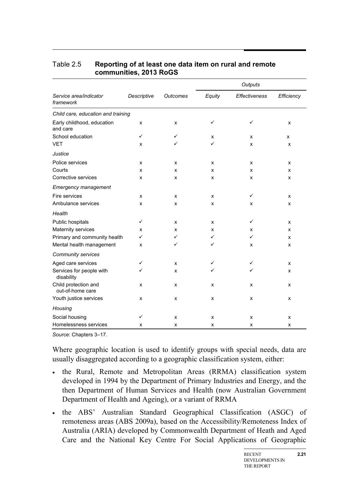|                                          |             | <b>Outcomes</b> | Outputs |                      |            |
|------------------------------------------|-------------|-----------------|---------|----------------------|------------|
| Service area/indicator<br>framework      | Descriptive |                 | Equity  | <b>Effectiveness</b> | Efficiency |
| Child care, education and training       |             |                 |         |                      |            |
| Early childhood, education<br>and care   | x           | x               | ✓       | ✓                    | X          |
| School education                         | ✓           | ✓               | x       | x                    | x          |
| <b>VET</b>                               | x           | ✓               | ✓       | X                    | X          |
| Justice                                  |             |                 |         |                      |            |
| Police services                          | x           | x               | x       | x                    | X          |
| Courts                                   | x           | x               | x       | x                    | X          |
| Corrective services                      | x           | x               | x       | X                    | X          |
| <b>Emergency management</b>              |             |                 |         |                      |            |
| Fire services                            | x           | x               | x       | ✓                    | x          |
| Ambulance services                       | X           | x               | x       | x                    | X          |
| Health                                   |             |                 |         |                      |            |
| Public hospitals                         | ✓           | x               | X       | ✓                    | X          |
| Maternity services                       | x           | x               | x       | x                    | X          |
| Primary and community health             | ✓           | ✓               | ✓       | ✓                    | X          |
| Mental health management                 | x           | ✓               | ✓       | x                    | X          |
| Community services                       |             |                 |         |                      |            |
| Aged care services                       | ✓           | x               | ✓       | ✓                    | X          |
| Services for people with<br>disability   | ✓           | x               | ✓       | ✓                    | X          |
| Child protection and<br>out-of-home care | x           | x               | x       | x                    | X          |
| Youth justice services                   | X           | x               | x       | X                    | X          |
| Housing                                  |             |                 |         |                      |            |
| Social housing                           | ✓           | x               | x       | x                    | X          |
| Homelessness services                    | x           | x               | X       | x                    | x          |

#### Table 2.5 **Reporting of at least one data item on rural and remote communities, 2013 RoGS**

*Source*: Chapters 3–17.

Where geographic location is used to identify groups with special needs, data are usually disaggregated according to a geographic classification system, either:

- the Rural, Remote and Metropolitan Areas (RRMA) classification system developed in 1994 by the Department of Primary Industries and Energy, and the then Department of Human Services and Health (now Australian Government Department of Health and Ageing), or a variant of RRMA
- the ABS' Australian Standard Geographical Classification (ASGC) of remoteness areas (ABS 2009a), based on the Accessibility/Remoteness Index of Australia (ARIA) developed by Commonwealth Department of Heath and Aged Care and the National Key Centre For Social Applications of Geographic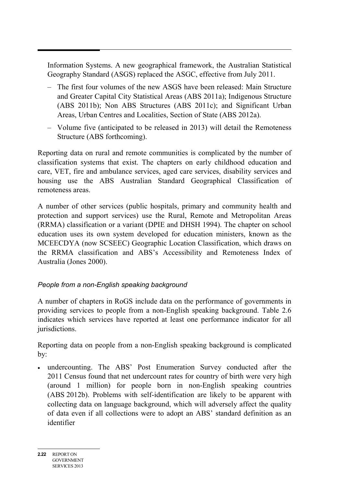Information Systems. A new geographical framework, the Australian Statistical Geography Standard (ASGS) replaced the ASGC, effective from July 2011.

- The first four volumes of the new ASGS have been released: Main Structure and Greater Capital City Statistical Areas (ABS 2011a); Indigenous Structure (ABS 2011b); Non ABS Structures (ABS 2011c); and Significant Urban Areas, Urban Centres and Localities, Section of State (ABS 2012a).
- Volume five (anticipated to be released in 2013) will detail the Remoteness Structure (ABS forthcoming).

Reporting data on rural and remote communities is complicated by the number of classification systems that exist. The chapters on early childhood education and care, VET, fire and ambulance services, aged care services, disability services and housing use the ABS Australian Standard Geographical Classification of remoteness areas.

A number of other services (public hospitals, primary and community health and protection and support services) use the Rural, Remote and Metropolitan Areas (RRMA) classification or a variant (DPIE and DHSH 1994). The chapter on school education uses its own system developed for education ministers, known as the MCEECDYA (now SCSEEC) Geographic Location Classification, which draws on the RRMA classification and ABS's Accessibility and Remoteness Index of Australia (Jones 2000).

## *People from a non-English speaking background*

A number of chapters in RoGS include data on the performance of governments in providing services to people from a non-English speaking background. Table 2.6 indicates which services have reported at least one performance indicator for all jurisdictions.

Reporting data on people from a non-English speaking background is complicated by:

• undercounting. The ABS' Post Enumeration Survey conducted after the 2011 Census found that net undercount rates for country of birth were very high (around 1 million) for people born in non-English speaking countries (ABS 2012b). Problems with self-identification are likely to be apparent with collecting data on language background, which will adversely affect the quality of data even if all collections were to adopt an ABS' standard definition as an identifier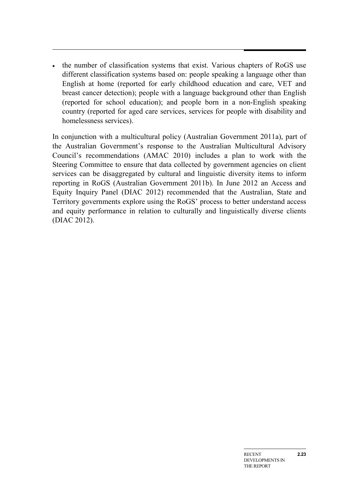• the number of classification systems that exist. Various chapters of RoGS use different classification systems based on: people speaking a language other than English at home (reported for early childhood education and care, VET and breast cancer detection); people with a language background other than English (reported for school education); and people born in a non-English speaking country (reported for aged care services, services for people with disability and homelessness services).

In conjunction with a multicultural policy (Australian Government 2011a), part of the Australian Government's response to the Australian Multicultural Advisory Council's recommendations (AMAC 2010) includes a plan to work with the Steering Committee to ensure that data collected by government agencies on client services can be disaggregated by cultural and linguistic diversity items to inform reporting in RoGS (Australian Government 2011b). In June 2012 an Access and Equity Inquiry Panel (DIAC 2012) recommended that the Australian, State and Territory governments explore using the RoGS' process to better understand access and equity performance in relation to culturally and linguistically diverse clients (DIAC 2012).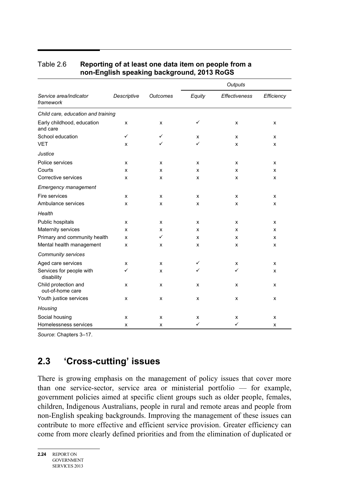|                                          |              |                 |        | Outputs              |            |
|------------------------------------------|--------------|-----------------|--------|----------------------|------------|
| Service area/indicator<br>framework      | Descriptive  | <b>Outcomes</b> | Equity | <b>Effectiveness</b> | Efficiency |
| Child care, education and training       |              |                 |        |                      |            |
| Early childhood, education<br>and care   | x            | X               | ✓      | x                    | X          |
| School education                         | $\checkmark$ | ✓               | X      | x                    | X          |
| <b>VET</b>                               | х            | ✓               | ✓      | x                    | х          |
| Justice                                  |              |                 |        |                      |            |
| Police services                          | X            | X               | X      | x                    | x          |
| Courts                                   | X            | X               | x      | x                    | X          |
| Corrective services                      | x            | X               | X      | x                    | x          |
| <b>Emergency management</b>              |              |                 |        |                      |            |
| Fire services                            | X            | X               | X      | x                    | x          |
| Ambulance services                       | x            | X               | x      | x                    | X          |
| Health                                   |              |                 |        |                      |            |
| Public hospitals                         | x            | X               | X      | x                    | X          |
| Maternity services                       | X            | X               | x      | x                    | X          |
| Primary and community health             | X            | $\checkmark$    | X      | x                    | X          |
| Mental health management                 | x            | X               | X      | x                    | X          |
| Community services                       |              |                 |        |                      |            |
| Aged care services                       | x            | X               | ✓      | х                    | x          |
| Services for people with<br>disability   | ✓            | X               | ✓      | ✓                    | X          |
| Child protection and<br>out-of-home care | X            | X               | X      | x                    | x          |
| Youth justice services                   | x            | X               | X      | x                    | x          |
| Housing                                  |              |                 |        |                      |            |
| Social housing                           | x            | X               | х      | x                    | X          |
| Homelessness services                    | x            | X               | ✓      | ✓                    | x          |

#### Table 2.6 **Reporting of at least one data item on people from a non-English speaking background, 2013 RoGS**

<span id="page-23-0"></span>*Source*: Chapters 3–17.

## **2.3 'Cross-cutting' issues**

There is growing emphasis on the management of policy issues that cover more than one service-sector, service area or ministerial portfolio — for example, government policies aimed at specific client groups such as older people, females, children, Indigenous Australians, people in rural and remote areas and people from non-English speaking backgrounds. Improving the management of these issues can contribute to more effective and efficient service provision. Greater efficiency can come from more clearly defined priorities and from the elimination of duplicated or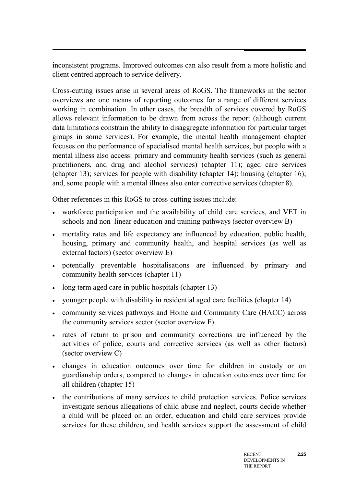inconsistent programs. Improved outcomes can also result from a more holistic and client centred approach to service delivery.

Cross-cutting issues arise in several areas of RoGS. The frameworks in the sector overviews are one means of reporting outcomes for a range of different services working in combination. In other cases, the breadth of services covered by RoGS allows relevant information to be drawn from across the report (although current data limitations constrain the ability to disaggregate information for particular target groups in some services). For example, the mental health management chapter focuses on the performance of specialised mental health services, but people with a mental illness also access: primary and community health services (such as general practitioners, and drug and alcohol services) (chapter 11); aged care services (chapter 13); services for people with disability (chapter 14); housing (chapter 16); and, some people with a mental illness also enter corrective services (chapter 8).

Other references in this RoGS to cross-cutting issues include:

- workforce participation and the availability of child care services, and VET in schools and non–linear education and training pathways (sector overview B)
- mortality rates and life expectancy are influenced by education, public health, housing, primary and community health, and hospital services (as well as external factors) (sector overview E)
- potentially preventable hospitalisations are influenced by primary and community health services (chapter 11)
- long term aged care in public hospitals (chapter 13)
- younger people with disability in residential aged care facilities (chapter 14)
- community services pathways and Home and Community Care (HACC) across the community services sector (sector overview F)
- rates of return to prison and community corrections are influenced by the activities of police, courts and corrective services (as well as other factors) (sector overview C)
- changes in education outcomes over time for children in custody or on guardianship orders, compared to changes in education outcomes over time for all children (chapter 15)
- the contributions of many services to child protection services. Police services investigate serious allegations of child abuse and neglect, courts decide whether a child will be placed on an order, education and child care services provide services for these children, and health services support the assessment of child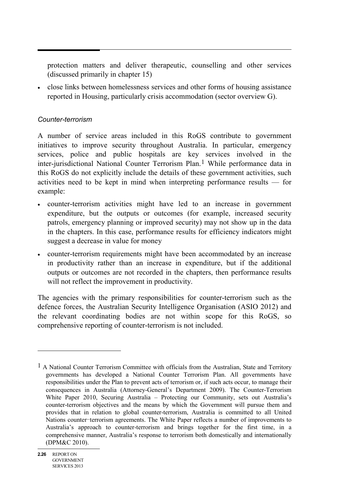protection matters and deliver therapeutic, counselling and other services (discussed primarily in chapter 15)

• close links between homelessness services and other forms of housing assistance reported in Housing, particularly crisis accommodation (sector overview G).

#### *Counter-terrorism*

A number of service areas included in this RoGS contribute to government initiatives to improve security throughout Australia. In particular, emergency services, police and public hospitals are key services involved in the inter-jurisdictional National Counter Terrorism Plan.[1](#page-25-0) While performance data in this RoGS do not explicitly include the details of these government activities, such activities need to be kept in mind when interpreting performance results — for example:

- counter-terrorism activities might have led to an increase in government expenditure, but the outputs or outcomes (for example, increased security patrols, emergency planning or improved security) may not show up in the data in the chapters. In this case, performance results for efficiency indicators might suggest a decrease in value for money
- counter-terrorism requirements might have been accommodated by an increase in productivity rather than an increase in expenditure, but if the additional outputs or outcomes are not recorded in the chapters, then performance results will not reflect the improvement in productivity.

The agencies with the primary responsibilities for counter-terrorism such as the defence forces, the Australian Security Intelligence Organisation (ASIO 2012) and the relevant coordinating bodies are not within scope for this RoGS, so comprehensive reporting of counter-terrorism is not included.

1

<span id="page-25-0"></span><sup>&</sup>lt;sup>1</sup> A National Counter Terrorism Committee with officials from the Australian, State and Territory governments has developed a National Counter Terrorism Plan. All governments have responsibilities under the Plan to prevent acts of terrorism or, if such acts occur, to manage their consequences in Australia (Attorney-General's Department 2009). The Counter-Terrorism White Paper 2010, Securing Australia – Protecting our Community, sets out Australia's counter-terrorism objectives and the means by which the Government will pursue them and provides that in relation to global counter-terrorism, Australia is committed to all United Nations counter-terrorism agreements. The White Paper reflects a number of improvements to Australia's approach to counter-terrorism and brings together for the first time, in a comprehensive manner, Australia's response to terrorism both domestically and internationally (DPM&C 2010).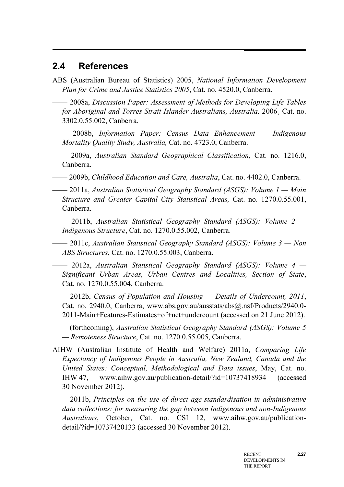## <span id="page-26-0"></span>**2.4 References**

- ABS (Australian Bureau of Statistics) 2005, *National Information Development Plan for Crime and Justice Statistics 2005*, Cat. no. 4520.0, Canberra.
- —— 2008a, *Discussion Paper: Assessment of Methods for Developing Life Tables for Aboriginal and Torres Strait Islander Australians, Australia,* 2006¸ Cat. no. 3302.0.55.002, Canberra.
- —— 2008b, *Information Paper: Census Data Enhancement — Indigenous Mortality Quality Study, Australia,* Cat. no. 4723.0, Canberra.
- —— 2009a, *Australian Standard Geographical Classification*, Cat. no. 1216.0, Canberra.
- —— 2009b, *Childhood Education and Care, Australia*, Cat. no. 4402.0, Canberra.
- —— 2011a, *Australian Statistical Geography Standard (ASGS): Volume 1 — Main Structure and Greater Capital City Statistical Areas,* Cat. no. 1270.0.55.001, Canberra.
- —— 2011b, *Australian Statistical Geography Standard (ASGS): Volume 2 — Indigenous Structure*, Cat. no. 1270.0.55.002, Canberra.
- —— 2011c, *Australian Statistical Geography Standard (ASGS): Volume 3 — Non ABS Structures*, Cat. no. 1270.0.55.003, Canberra.
- —— 2012a, *Australian Statistical Geography Standard (ASGS): Volume 4 — Significant Urban Areas, Urban Centres and Localities, Section of State*, Cat. no. 1270.0.55.004, Canberra.
- —— 2012b, *Census of Population and Housing — Details of Undercount, 2011*, Cat. no. 2940.0, Canberra, www.abs.gov.au/ausstats/abs@.nsf/Products/2940.0- 2011-Main+Features-Estimates+of+net+undercount (accessed on 21 June 2012).
- —— (forthcoming), *Australian Statistical Geography Standard (ASGS): Volume 5 — Remoteness Structure*, Cat. no. 1270.0.55.005, Canberra.
- AIHW (Australian Institute of Health and Welfare) 2011a, *Comparing Life Expectancy of Indigenous People in Australia, New Zealand, Canada and the United States: Conceptual, Methodological and Data issues*, May, Cat. no. IHW 47, www.aihw.gov.au/publication-detail/?id=10737418934 (accessed 30 November 2012).
- —— 2011b, *Principles on the use of direct age-standardisation in administrative data collections: for measuring the gap between Indigenous and non-Indigenous Australians*, October, Cat. no. CSI 12, www.aihw.gov.au/publicationdetail/?id=10737420133 (accessed 30 November 2012).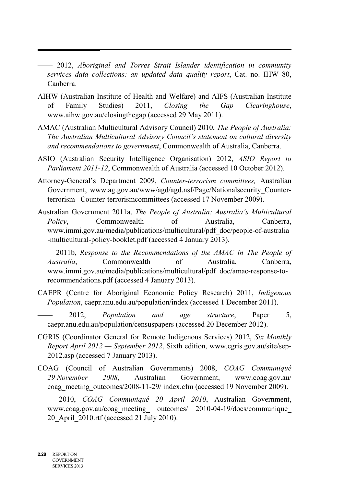- —— 2012, *Aboriginal and Torres Strait Islander identification in community services data collections: an updated data quality report*, Cat. no. IHW 80, Canberra.
- AIHW (Australian Institute of Health and Welfare) and AIFS (Australian Institute of Family Studies) 2011, *Closing the Gap Clearinghouse*, www.aihw.gov.au/closingthegap (accessed 29 May 2011).
- AMAC (Australian Multicultural Advisory Council) 2010, *The People of Australia: The Australian Multicultural Advisory Council's statement on cultural diversity and recommendations to government*, Commonwealth of Australia, Canberra.
- ASIO (Australian Security Intelligence Organisation) 2012, *ASIO Report to Parliament 2011-12*, Commonwealth of Australia (accessed 10 October 2012).
- Attorney-General's Department 2009, *Counter-terrorism committees,* Australian Government, www.ag.gov.au/www/agd/agd.nsf/Page/Nationalsecurity\_Counterterrorism\_ Counter-terrorismcommittees (accessed 17 November 2009).
- Australian Government 2011a, *The People of Australia: Australia's Multicultural Policy*, Commonwealth of Australia, Canberra, www.immi.gov.au/media/publications/multicultural/pdf\_doc/people-of-australia -multicultural-policy-booklet.pdf (accessed 4 January 2013).
- —— 2011b, *Response to the Recommendations of the AMAC in The People of Australia*, Commonwealth of Australia, Canberra, www.immi.gov.au/media/publications/multicultural/pdf\_doc/amac-response-torecommendations.pdf (accessed 4 January 2013).
- CAEPR (Centre for Aboriginal Economic Policy Research) 2011, *Indigenous Population*, caepr.anu.edu.au/population/index (accessed 1 December 2011).
- —— 2012, *Population and age structure*, Paper 5, caepr.anu.edu.au/population/censuspapers (accessed 20 December 2012).
- CGRIS (Coordinator General for Remote Indigenous Services) 2012, *Six Monthly Report April 2012 — September 2012*, Sixth edition, www.cgris.gov.au/site/sep-2012.asp (accessed 7 January 2013).
- COAG (Council of Australian Governments) 2008, *COAG Communiqué 29 November 2008*, Australian Government, www.coag.gov.au/ coag\_meeting\_outcomes/2008-11-29/ index.cfm (accessed 19 November 2009).
- —— 2010, *COAG Communiqué 20 April 2010*, Australian Government, www.coag.gov.au/coag\_meeting outcomes/ 2010-04-19/docs/communique 20\_April\_2010.rtf (accessed 21 July 2010).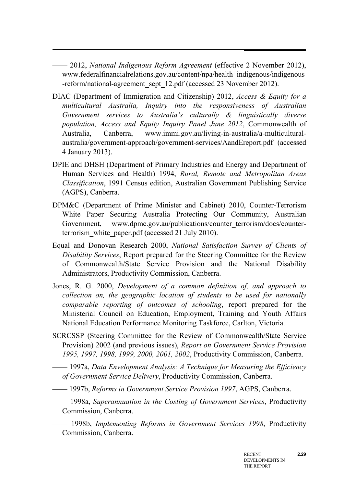—— 2012, *National Indigenous Reform Agreement* (effective 2 November 2012), www.federalfinancialrelations.gov.au/content/npa/health\_indigenous/indigenous -reform/national-agreement\_sept\_12.pdf (accessed 23 November 2012).

- DIAC (Department of Immigration and Citizenship) 2012, *Access & Equity for a multicultural Australia, Inquiry into the responsiveness of Australian Government services to Australia's culturally & linguistically diverse population, Access and Equity Inquiry Panel June 2012*, Commonwealth of Australia, Canberra, www.immi.gov.au/living-in-australia/a-multiculturalaustralia/government-approach/government-services/AandEreport.pdf (accessed 4 January 2013).
- DPIE and DHSH (Department of Primary Industries and Energy and Department of Human Services and Health) 1994, *Rural, Remote and Metropolitan Areas Classification*, 1991 Census edition, Australian Government Publishing Service (AGPS), Canberra.
- DPM&C (Department of Prime Minister and Cabinet) 2010, Counter-Terrorism White Paper Securing Australia Protecting Our Community, Australian Government, www.dpmc.gov.au/publications/counter-terrorism/docs/counterterrorism\_white\_paper.pdf (accessed 21 July 2010).
- Equal and Donovan Research 2000, *National Satisfaction Survey of Clients of Disability Services*, Report prepared for the Steering Committee for the Review of Commonwealth/State Service Provision and the National Disability Administrators, Productivity Commission, Canberra.
- Jones, R. G. 2000, *Development of a common definition of, and approach to collection on, the geographic location of students to be used for nationally comparable reporting of outcomes of schooling*, report prepared for the Ministerial Council on Education, Employment, Training and Youth Affairs National Education Performance Monitoring Taskforce, Carlton, Victoria.
- SCRCSSP (Steering Committee for the Review of Commonwealth/State Service Provision) 2002 (and previous issues), *Report on Government Service Provision 1995, 1997, 1998, 1999, 2000, 2001, 2002*, Productivity Commission, Canberra.
- —— 1997a, *Data Envelopment Analysis: A Technique for Measuring the Efficiency of Government Service Delivery*, Productivity Commission, Canberra.
- —— 1997b, *Reforms in Government Service Provision 1997*, AGPS, Canberra.
- —— 1998a, *Superannuation in the Costing of Government Services*, Productivity Commission, Canberra.
- —— 1998b, *Implementing Reforms in Government Services 1998*, Productivity Commission, Canberra.